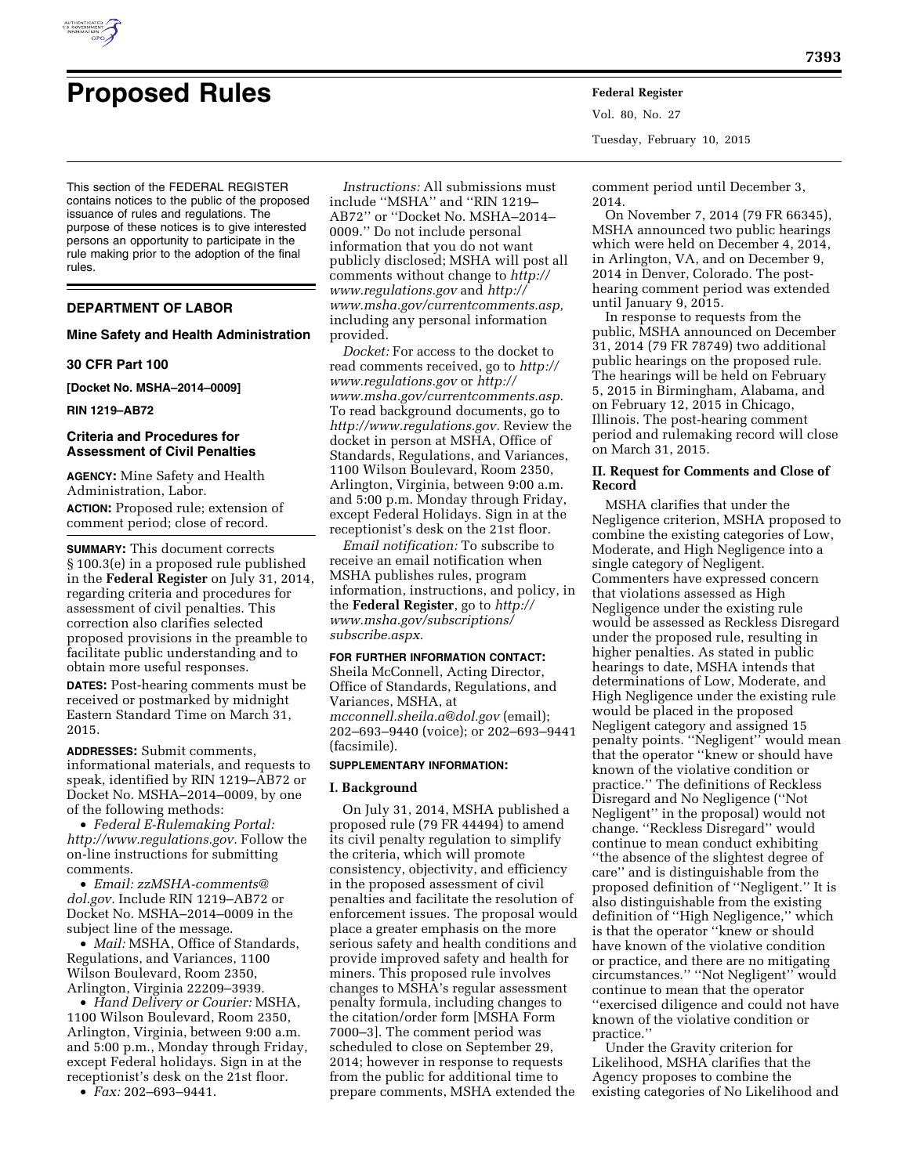

# **Proposed Rules Federal Register**

This section of the FEDERAL REGISTER contains notices to the public of the proposed issuance of rules and regulations. The purpose of these notices is to give interested persons an opportunity to participate in the rule making prior to the adoption of the final rules.

## **DEPARTMENT OF LABOR**

#### **Mine Safety and Health Administration**

## **30 CFR Part 100**

**[Docket No. MSHA–2014–0009]** 

**RIN 1219–AB72** 

## **Criteria and Procedures for Assessment of Civil Penalties**

**AGENCY:** Mine Safety and Health Administration, Labor.

**ACTION:** Proposed rule; extension of comment period; close of record.

**SUMMARY:** This document corrects § 100.3(e) in a proposed rule published in the **Federal Register** on July 31, 2014, regarding criteria and procedures for assessment of civil penalties. This correction also clarifies selected proposed provisions in the preamble to facilitate public understanding and to obtain more useful responses.

**DATES:** Post-hearing comments must be received or postmarked by midnight Eastern Standard Time on March 31, 2015.

**ADDRESSES:** Submit comments, informational materials, and requests to speak, identified by RIN 1219–AB72 or Docket No. MSHA–2014–0009, by one of the following methods:

• *Federal E-Rulemaking Portal: [http://www.regulations.gov.](http://www.regulations.gov)* Follow the on-line instructions for submitting comments.

• *Email: [zzMSHA-comments@](mailto:zzMSHA-comments@dol.gov) [dol.gov.](mailto:zzMSHA-comments@dol.gov)* Include RIN 1219–AB72 or Docket No. MSHA–2014–0009 in the subject line of the message.

• *Mail:* MSHA, Office of Standards, Regulations, and Variances, 1100 Wilson Boulevard, Room 2350, Arlington, Virginia 22209–3939.

• *Hand Delivery or Courier:* MSHA, 1100 Wilson Boulevard, Room 2350, Arlington, Virginia, between 9:00 a.m. and 5:00 p.m., Monday through Friday, except Federal holidays. Sign in at the receptionist's desk on the 21st floor.

• *Fax:* 202–693–9441.

*Instructions:* All submissions must include ''MSHA'' and ''RIN 1219– AB72'' or ''Docket No. MSHA–2014– 0009.'' Do not include personal information that you do not want publicly disclosed; MSHA will post all comments without change to *[http://](http://www.regulations.gov) [www.regulations.gov](http://www.regulations.gov)* and *[http://](http://www.msha.gov/currentcomments.asp) [www.msha.gov/currentcomments.asp,](http://www.msha.gov/currentcomments.asp)*  including any personal information provided.

*Docket:* For access to the docket to read comments received, go to *[http://](http://www.regulations.gov) [www.regulations.gov](http://www.regulations.gov)* or *[http://](http://www.msha.gov/currentcomments.asp) [www.msha.gov/currentcomments.asp.](http://www.msha.gov/currentcomments.asp)*  To read background documents, go to *[http://www.regulations.gov.](http://www.regulations.gov)* Review the docket in person at MSHA, Office of Standards, Regulations, and Variances, 1100 Wilson Boulevard, Room 2350, Arlington, Virginia, between 9:00 a.m. and 5:00 p.m. Monday through Friday, except Federal Holidays. Sign in at the receptionist's desk on the 21st floor.

*Email notification:* To subscribe to receive an email notification when MSHA publishes rules, program information, instructions, and policy, in the **Federal Register**, go to *[http://](http://www.msha.gov/subscriptions/subscribe.aspx) [www.msha.gov/subscriptions/](http://www.msha.gov/subscriptions/subscribe.aspx) [subscribe.aspx.](http://www.msha.gov/subscriptions/subscribe.aspx)* 

## **FOR FURTHER INFORMATION CONTACT:**

Sheila McConnell, Acting Director, Office of Standards, Regulations, and Variances, MSHA, at *[mcconnell.sheila.a@dol.gov](mailto:mcconnell.sheila.a@dol.gov)* (email); 202–693–9440 (voice); or 202–693–9441 (facsimile).

#### **SUPPLEMENTARY INFORMATION:**

#### **I. Background**

On July 31, 2014, MSHA published a proposed rule (79 FR 44494) to amend its civil penalty regulation to simplify the criteria, which will promote consistency, objectivity, and efficiency in the proposed assessment of civil penalties and facilitate the resolution of enforcement issues. The proposal would place a greater emphasis on the more serious safety and health conditions and provide improved safety and health for miners. This proposed rule involves changes to MSHA's regular assessment penalty formula, including changes to the citation/order form [MSHA Form 7000–3]. The comment period was scheduled to close on September 29, 2014; however in response to requests from the public for additional time to prepare comments, MSHA extended the

Tuesday, February 10, 2015

Vol. 80, No. 27

comment period until December 3, 2014.

On November 7, 2014 (79 FR 66345), MSHA announced two public hearings which were held on December 4, 2014, in Arlington, VA, and on December 9, 2014 in Denver, Colorado. The posthearing comment period was extended until January 9, 2015.

In response to requests from the public, MSHA announced on December 31, 2014 (79 FR 78749) two additional public hearings on the proposed rule. The hearings will be held on February 5, 2015 in Birmingham, Alabama, and on February 12, 2015 in Chicago, Illinois. The post-hearing comment period and rulemaking record will close on March 31, 2015.

## **II. Request for Comments and Close of Record**

MSHA clarifies that under the Negligence criterion, MSHA proposed to combine the existing categories of Low, Moderate, and High Negligence into a single category of Negligent. Commenters have expressed concern that violations assessed as High Negligence under the existing rule would be assessed as Reckless Disregard under the proposed rule, resulting in higher penalties. As stated in public hearings to date, MSHA intends that determinations of Low, Moderate, and High Negligence under the existing rule would be placed in the proposed Negligent category and assigned 15 penalty points. ''Negligent'' would mean that the operator ''knew or should have known of the violative condition or practice.'' The definitions of Reckless Disregard and No Negligence (''Not Negligent'' in the proposal) would not change. ''Reckless Disregard'' would continue to mean conduct exhibiting ''the absence of the slightest degree of care'' and is distinguishable from the proposed definition of ''Negligent.'' It is also distinguishable from the existing definition of ''High Negligence,'' which is that the operator ''knew or should have known of the violative condition or practice, and there are no mitigating circumstances.'' ''Not Negligent'' would continue to mean that the operator ''exercised diligence and could not have known of the violative condition or practice.''

Under the Gravity criterion for Likelihood, MSHA clarifies that the Agency proposes to combine the existing categories of No Likelihood and